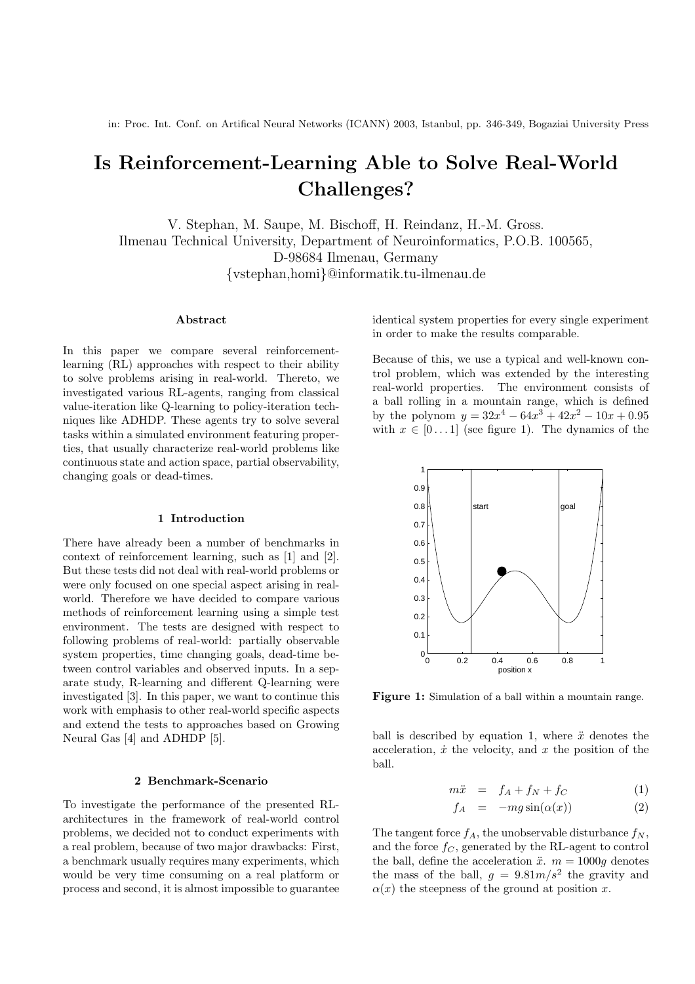# Is Reinforcement-Learning Able to Solve Real-World Challenges?

V. Stephan, M. Saupe, M. Bischoff, H. Reindanz, H.-M. Gross. Ilmenau Technical University, Department of Neuroinformatics, P.O.B. 100565, D-98684 Ilmenau, Germany {vstephan,homi}@informatik.tu-ilmenau.de

#### Abstract

In this paper we compare several reinforcementlearning (RL) approaches with respect to their ability to solve problems arising in real-world. Thereto, we investigated various RL-agents, ranging from classical value-iteration like Q-learning to policy-iteration techniques like ADHDP. These agents try to solve several tasks within a simulated environment featuring properties, that usually characterize real-world problems like continuous state and action space, partial observability, changing goals or dead-times.

## 1 Introduction

There have already been a number of benchmarks in context of reinforcement learning, such as [1] and [2]. But these tests did not deal with real-world problems or were only focused on one special aspect arising in realworld. Therefore we have decided to compare various methods of reinforcement learning using a simple test environment. The tests are designed with respect to following problems of real-world: partially observable system properties, time changing goals, dead-time between control variables and observed inputs. In a separate study, R-learning and different Q-learning were investigated [3]. In this paper, we want to continue this work with emphasis to other real-world specific aspects and extend the tests to approaches based on Growing Neural Gas [4] and ADHDP [5].

#### 2 Benchmark-Scenario

To investigate the performance of the presented RLarchitectures in the framework of real-world control problems, we decided not to conduct experiments with a real problem, because of two major drawbacks: First, a benchmark usually requires many experiments, which would be very time consuming on a real platform or process and second, it is almost impossible to guarantee

identical system properties for every single experiment in order to make the results comparable.

Because of this, we use a typical and well-known control problem, which was extended by the interesting real-world properties. The environment consists of a ball rolling in a mountain range, which is defined by the polynom  $y = 32x^4 - 64x^3 + 42x^2 - 10x + 0.95$ with  $x \in [0, 1]$  (see figure 1). The dynamics of the



Figure 1: Simulation of a ball within a mountain range.

ball is described by equation 1, where  $\ddot{x}$  denotes the acceleration,  $\dot{x}$  the velocity, and  $x$  the position of the ball.

$$
m\ddot{x} = f_A + f_N + f_C \tag{1}
$$

$$
f_A = -mg\sin(\alpha(x)) \tag{2}
$$

The tangent force  $f_A$ , the unobservable disturbance  $f_N$ , and the force  $f_C$ , generated by the RL-agent to control the ball, define the acceleration  $\ddot{x}$ .  $m = 1000g$  denotes the mass of the ball,  $g = 9.81m/s^2$  the gravity and  $\alpha(x)$  the steepness of the ground at position x.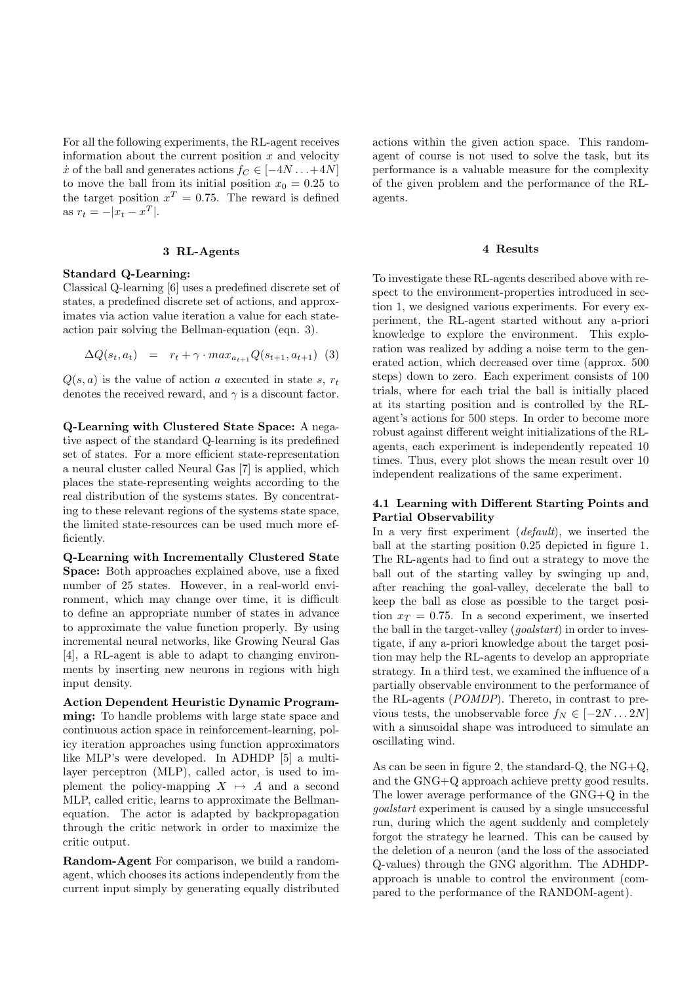For all the following experiments, the RL-agent receives information about the current position  $x$  and velocity  $\dot{x}$  of the ball and generates actions  $f_C \in [-4N...+4N]$ to move the ball from its initial position  $x_0 = 0.25$  to the target position  $x^T = 0.75$ . The reward is defined as  $r_t = -|x_t - x^T|$ .

# 3 RL-Agents

## Standard Q-Learning:

Classical Q-learning [6] uses a predefined discrete set of states, a predefined discrete set of actions, and approximates via action value iteration a value for each stateaction pair solving the Bellman-equation (eqn. 3).

$$
\Delta Q(s_t, a_t) = r_t + \gamma \cdot max_{a_{t+1}} Q(s_{t+1}, a_{t+1})
$$
 (3)

 $Q(s, a)$  is the value of action a executed in state s,  $r_t$ denotes the received reward, and  $\gamma$  is a discount factor.

Q-Learning with Clustered State Space: A negative aspect of the standard Q-learning is its predefined set of states. For a more efficient state-representation a neural cluster called Neural Gas [7] is applied, which places the state-representing weights according to the real distribution of the systems states. By concentrating to these relevant regions of the systems state space, the limited state-resources can be used much more efficiently.

Q-Learning with Incrementally Clustered State Space: Both approaches explained above, use a fixed number of 25 states. However, in a real-world environment, which may change over time, it is difficult to define an appropriate number of states in advance to approximate the value function properly. By using incremental neural networks, like Growing Neural Gas [4], a RL-agent is able to adapt to changing environments by inserting new neurons in regions with high input density.

Action Dependent Heuristic Dynamic Programming: To handle problems with large state space and continuous action space in reinforcement-learning, policy iteration approaches using function approximators like MLP's were developed. In ADHDP [5] a multilayer perceptron (MLP), called actor, is used to implement the policy-mapping  $X \mapsto A$  and a second MLP, called critic, learns to approximate the Bellmanequation. The actor is adapted by backpropagation through the critic network in order to maximize the critic output.

Random-Agent For comparison, we build a randomagent, which chooses its actions independently from the current input simply by generating equally distributed actions within the given action space. This randomagent of course is not used to solve the task, but its performance is a valuable measure for the complexity of the given problem and the performance of the RLagents.

# 4 Results

To investigate these RL-agents described above with respect to the environment-properties introduced in section 1, we designed various experiments. For every experiment, the RL-agent started without any a-priori knowledge to explore the environment. This exploration was realized by adding a noise term to the generated action, which decreased over time (approx. 500 steps) down to zero. Each experiment consists of 100 trials, where for each trial the ball is initially placed at its starting position and is controlled by the RLagent's actions for 500 steps. In order to become more robust against different weight initializations of the RLagents, each experiment is independently repeated 10 times. Thus, every plot shows the mean result over 10 independent realizations of the same experiment.

# 4.1 Learning with Different Starting Points and Partial Observability

In a very first experiment *(default)*, we inserted the ball at the starting position 0.25 depicted in figure 1. The RL-agents had to find out a strategy to move the ball out of the starting valley by swinging up and, after reaching the goal-valley, decelerate the ball to keep the ball as close as possible to the target position  $x_T = 0.75$ . In a second experiment, we inserted the ball in the target-valley (*goalstart*) in order to investigate, if any a-priori knowledge about the target position may help the RL-agents to develop an appropriate strategy. In a third test, we examined the influence of a partially observable environment to the performance of the RL-agents (POMDP). Thereto, in contrast to previous tests, the unobservable force  $f_N \in [-2N...2N]$ with a sinusoidal shape was introduced to simulate an oscillating wind.

As can be seen in figure 2, the standard-Q, the  $NG+Q$ , and the GNG+Q approach achieve pretty good results. The lower average performance of the GNG+Q in the goalstart experiment is caused by a single unsuccessful run, during which the agent suddenly and completely forgot the strategy he learned. This can be caused by the deletion of a neuron (and the loss of the associated Q-values) through the GNG algorithm. The ADHDPapproach is unable to control the environment (compared to the performance of the RANDOM-agent).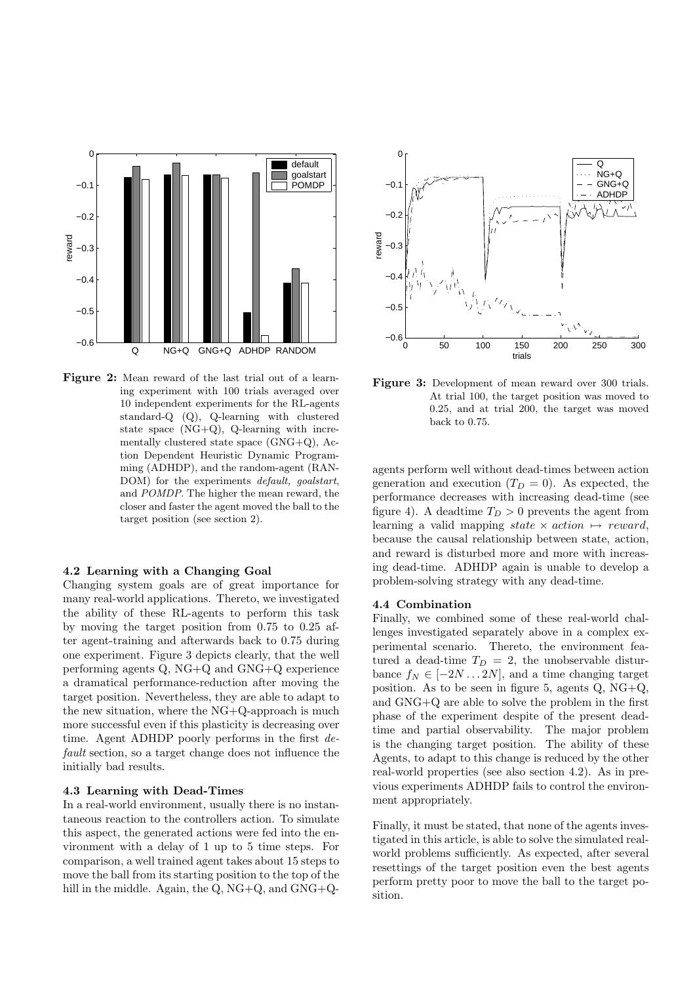

Figure 2: Mean reward of the last trial out of a learning experiment with 100 trials averaged over 10 independent experiments for the RL-agents standard-Q (Q), Q-learning with clustered state space  $(NG+Q)$ , Q-learning with incrementally clustered state space (GNG+Q), Action Dependent Heuristic Dynamic Programming (ADHDP), and the random-agent (RAN-DOM) for the experiments *default*, *goalstart*, and POMDP. The higher the mean reward, the closer and faster the agent moved the ball to the target position (see section 2).

## 4.2 Learning with a Changing Goal

Changing system goals are of great importance for many real-world applications. Thereto, we investigated the ability of these RL-agents to perform this task by moving the target position from 0.75 to 0.25 after agent-training and afterwards back to 0.75 during one experiment. Figure 3 depicts clearly, that the well performing agents Q, NG+Q and GNG+Q experience a dramatical performance-reduction after moving the target position. Nevertheless, they are able to adapt to the new situation, where the NG+Q-approach is much more successful even if this plasticity is decreasing over time. Agent ADHDP poorly performs in the first default section, so a target change does not influence the initially bad results.

## 4.3 Learning with Dead-Times

In a real-world environment, usually there is no instantaneous reaction to the controllers action. To simulate this aspect, the generated actions were fed into the environment with a delay of 1 up to 5 time steps. For comparison, a well trained agent takes about 15 steps to move the ball from its starting position to the top of the hill in the middle. Again, the Q, NG+Q, and GNG+Q-



Figure 3: Development of mean reward over 300 trials. At trial 100, the target position was moved to 0.25, and at trial 200, the target was moved back to 0.75.

agents perform well without dead-times between action generation and execution  $(T_D = 0)$ . As expected, the performance decreases with increasing dead-time (see figure 4). A deadtime  $T_D > 0$  prevents the agent from learning a valid mapping state  $\times$  action  $\mapsto$  reward, because the causal relationship between state, action, and reward is disturbed more and more with increasing dead-time. ADHDP again is unable to develop a problem-solving strategy with any dead-time.

#### 4.4 Combination

Finally, we combined some of these real-world challenges investigated separately above in a complex experimental scenario. Thereto, the environment featured a dead-time  $T_D = 2$ , the unobservable disturbance  $f_N \in [-2N...2N]$ , and a time changing target position. As to be seen in figure 5, agents Q, NG+Q, and GNG+Q are able to solve the problem in the first phase of the experiment despite of the present deadtime and partial observability. The major problem is the changing target position. The ability of these Agents, to adapt to this change is reduced by the other real-world properties (see also section 4.2). As in previous experiments ADHDP fails to control the environment appropriately.

Finally, it must be stated, that none of the agents investigated in this article, is able to solve the simulated realworld problems sufficiently. As expected, after several resettings of the target position even the best agents perform pretty poor to move the ball to the target position.